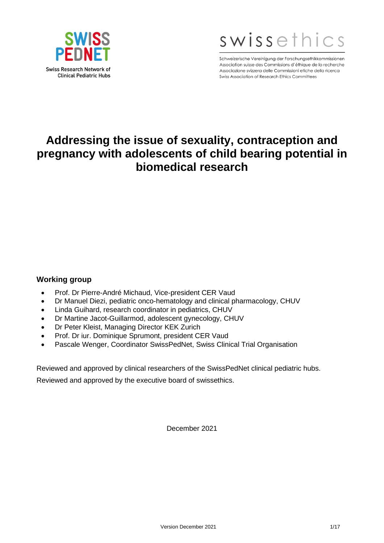



Schweizerische Vereinigung der Forschungsethikkommissionen Association suisse des Commissions d'éthique de la recherche Associazione svizzera delle Commissioni etiche della ricerca Swiss Association of Research Ethics Committees

# **Addressing the issue of sexuality, contraception and pregnancy with adolescents of child bearing potential in biomedical research**

#### **Working group**

- Prof. Dr Pierre-André Michaud, Vice-president CER Vaud
- Dr Manuel Diezi, pediatric onco-hematology and clinical pharmacology, CHUV
- Linda Guihard, research coordinator in pediatrics, CHUV
- Dr Martine Jacot-Guillarmod, adolescent gynecology, CHUV
- Dr Peter Kleist, Managing Director KEK Zurich
- Prof. Dr iur. Dominique Sprumont, president CER Vaud
- Pascale Wenger, Coordinator SwissPedNet, Swiss Clinical Trial Organisation

Reviewed and approved by clinical researchers of the SwissPedNet clinical pediatric hubs.

Reviewed and approved by the executive board of swissethics.

December 2021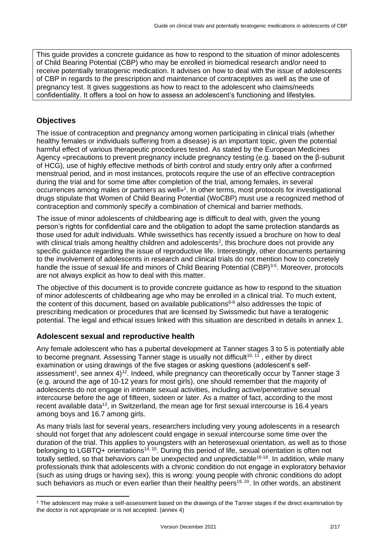This guide provides a concrete guidance as how to respond to the situation of minor adolescents of Child Bearing Potential (CBP) who may be enrolled in biomedical research and/or need to receive potentially teratogenic medication. It advises on how to deal with the issue of adolescents of CBP in regards to the prescription and maintenance of contraceptives as well as the use of pregnancy test. It gives suggestions as how to react to the adolescent who claims/needs confidentiality. It offers a tool on how to assess an adolescent's functioning and lifestyles.

# **Objectives**

The issue of contraception and pregnancy among women participating in clinical trials (whether healthy females or individuals suffering from a disease) is an important topic, given the potential harmful effect of various therapeutic procedures tested. As stated by the European Medicines Agency «precautions to prevent pregnancy include pregnancy testing (e.g. based on the β-subunit of HCG), use of highly effective methods of birth control and study entry only after a confirmed menstrual period, and in most instances, protocols require the use of an effective contraception during the trial and for some time after completion of the trial, among females, in several occurrences among males or partners as well»<sup>1</sup>. In other terms, most protocols for investigational drugs stipulate that Women of Child Bearing Potential (WoCBP) must use a recognized method of contraception and commonly specify a combination of chemical and barrier methods.

The issue of minor adolescents of childbearing age is difficult to deal with, given the young person's rights for confidential care and the obligation to adopt the same protection standards as those used for adult individuals. While swissethics has recently issued a brochure on how to deal with clinical trials among healthy children and adolescents<sup>2</sup>, this brochure does not provide any specific guidance regarding the issue of reproductive life. Interestingly, other documents pertaining to the involvement of adolescents in research and clinical trials do not mention how to concretely handle the issue of sexual life and minors of Child Bearing Potential (CBP)<sup>3-5</sup>. Moreover, protocols are not always explicit as how to deal with this matter.

The objective of this document is to provide concrete guidance as how to respond to the situation of minor adolescents of childbearing age who may be enrolled in a clinical trial. To much extent, the content of this document, based on available publications<sup>6-9</sup> also addresses the topic of prescribing medication or procedures that are licensed by Swissmedic but have a teratogenic potential. The legal and ethical issues linked with this situation are described in details in annex 1.

# **Adolescent sexual and reproductive health**

Any female adolescent who has a pubertal development at Tanner stages 3 to 5 is potentially able to become pregnant. Assessing Tanner stage is usually not difficult<sup>10, 11</sup>, either by direct examination or using drawings of the five stages or asking questions (adolescent's selfassessment<sup>1</sup>, see annex 4)<sup>12</sup>. Indeed, while pregnancy can theoretically occur by Tanner stage 3 (e.g. around the age of 10-12 years for most girls), one should remember that the majority of adolescents do not engage in intimate sexual activities, including active/penetrative sexual intercourse before the age of fifteen, sixteen or later. As a matter of fact, according to the most recent available data<sup>13</sup>, in Switzerland, the mean age for first sexual intercourse is 16.4 years among boys and 16.7 among girls.

As many trials last for several years, researchers including very young adolescents in a research should not forget that any adolescent could engage in sexual intercourse some time over the duration of the trial. This applies to youngsters with an heterosexual orientation, as well as to those belonging to LGBTQ+ orientations<sup>14, 15</sup>. During this period of life, sexual orientation is often not totally settled, so that behaviors can be unexpected and unpredictable<sup>16-18</sup>. In addition, while many professionals think that adolescents with a chronic condition do not engage in exploratory behavior (such as using drugs or having sex), this is wrong: young people with chronic conditions do adopt such behaviors as much or even earlier than their healthy peers<sup>19, 20</sup>. In other words, an abstinent

<sup>1</sup> The adolescent may make a self-assessment based on the drawings of the Tanner stages if the direct examination by the doctor is not appropriate or is not accepted. (annex 4)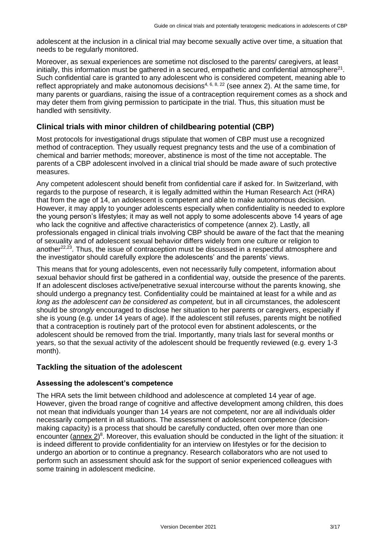adolescent at the inclusion in a clinical trial may become sexually active over time, a situation that needs to be regularly monitored.

Moreover, as sexual experiences are sometime not disclosed to the parents/ caregivers, at least initially, this information must be gathered in a secured, empathetic and confidential atmosphere<sup>21</sup>. Such confidential care is granted to any adolescent who is considered competent, meaning able to reflect appropriately and make autonomous decisions<sup>4, 6, 8, 22</sup> (see annex 2). At the same time, for many parents or guardians, raising the issue of a contraception requirement comes as a shock and may deter them from giving permission to participate in the trial. Thus, this situation must be handled with sensitivity.

### **Clinical trials with minor children of childbearing potential (CBP)**

Most protocols for investigational drugs stipulate that women of CBP must use a recognized method of contraception. They usually request pregnancy tests and the use of a combination of chemical and barrier methods; moreover, abstinence is most of the time not acceptable. The parents of a CBP adolescent involved in a clinical trial should be made aware of such protective measures.

Any competent adolescent should benefit from confidential care if asked for. In Switzerland, with regards to the purpose of research, it is legally admitted within the Human Research Act (HRA) that from the age of 14, an adolescent is competent and able to make autonomous decision. However, it may apply to younger adolescents especially when confidentiality is needed to explore the young person's lifestyles; it may as well not apply to some adolescents above 14 years of age who lack the cognitive and affective characteristics of competence (annex 2). Lastly, all professionals engaged in clinical trials involving CBP should be aware of the fact that the meaning of sexuality and of adolescent sexual behavior differs widely from one culture or religion to another<sup>22,23</sup>. Thus, the issue of contraception must be discussed in a respectful atmosphere and the investigator should carefully explore the adolescents' and the parents' views.

This means that for young adolescents, even not necessarily fully competent, information about sexual behavior should first be gathered in a confidential way, outside the presence of the parents. If an adolescent discloses active/penetrative sexual intercourse without the parents knowing, she should undergo a pregnancy test. Confidentiality could be maintained at least for a while and *as long as the adolescent can be considered as competent,* but in all circumstances, the adolescent should be *strongly* encouraged to disclose her situation to her parents or caregivers, especially if she is young (e.g. under 14 years of age). If the adolescent still refuses, parents might be notified that a contraception is routinely part of the protocol even for abstinent adolescents, or the adolescent should be removed from the trial. Importantly, many trials last for several months or years, so that the sexual activity of the adolescent should be frequently reviewed (e.g. every 1-3 month).

#### **Tackling the situation of the adolescent**

#### **Assessing the adolescent's competence**

The HRA sets the limit between childhood and adolescence at completed 14 year of age. However, given the broad range of cognitive and affective development among children, this does not mean that individuals younger than 14 years are not competent, nor are all individuals older necessarily competent in all situations. The assessment of adolescent competence (decisionmaking capacity) is a process that should be carefully conducted, often over more than one encounter (annex 2)<sup>8</sup>. Moreover, this evaluation should be conducted in the light of the situation: it is indeed different to provide confidentiality for an interview on lifestyles or for the decision to undergo an abortion or to continue a pregnancy. Research collaborators who are not used to perform such an assessment should ask for the support of senior experienced colleagues with some training in adolescent medicine.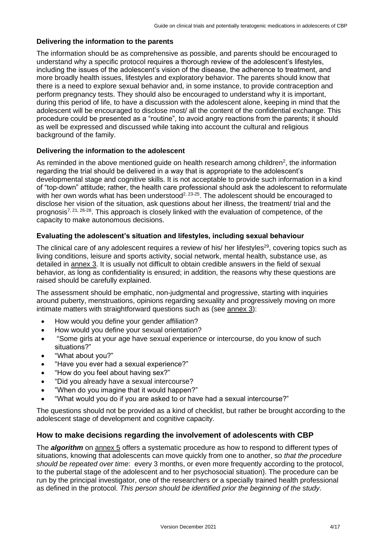#### **Delivering the information to the parents**

The information should be as comprehensive as possible, and parents should be encouraged to understand why a specific protocol requires a thorough review of the adolescent's lifestyles, including the issues of the adolescent's vision of the disease, the adherence to treatment, and more broadly health issues, lifestyles and exploratory behavior. The parents should know that there is a need to explore sexual behavior and, in some instance, to provide contraception and perform pregnancy tests. They should also be encouraged to understand why it is important, during this period of life, to have a discussion with the adolescent alone, keeping in mind that the adolescent will be encouraged to disclose most/ all the content of the confidential exchange. This procedure could be presented as a "routine", to avoid angry reactions from the parents; it should as well be expressed and discussed while taking into account the cultural and religious background of the family.

#### **Delivering the information to the adolescent**

As reminded in the above mentioned guide on health research among children<sup>2</sup>, the information regarding the trial should be delivered in a way that is appropriate to the adolescent's developmental stage and cognitive skills. It is not acceptable to provide such information in a kind of "top-down" attitude; rather, the health care professional should ask the adolescent to reformulate with her own words what has been understood<sup>2,  $23-25$ </sup>. The adolescent should be encouraged to disclose her vision of the situation, ask questions about her illness, the treatment/ trial and the prognosis<sup>7, 21, 26-28</sup>. This approach is closely linked with the evaluation of competence, of the capacity to make autonomous decisions.

#### **Evaluating the adolescent's situation and lifestyles, including sexual behaviour**

The clinical care of any adolescent requires a review of his/ her lifestyles<sup>29</sup>, covering topics such as living conditions, leisure and sports activity, social network, mental health, substance use, as detailed in annex 3. It is usually not difficult to obtain credible answers in the field of sexual behavior, as long as confidentiality is ensured; in addition, the reasons why these questions are raised should be carefully explained.

The assessment should be emphatic, non-judgmental and progressive, starting with inquiries around puberty, menstruations, opinions regarding sexuality and progressively moving on more intimate matters with straightforward questions such as (see annex 3):

- How would you define your gender affiliation?
- How would you define your sexual orientation?
- "Some girls at your age have sexual experience or intercourse, do you know of such situations?"
- "What about you?"
- "Have you ever had a sexual experience?"
- "How do you feel about having sex?"
- "Did you already have a sexual intercourse?
- "When do you imagine that it would happen?"
- "What would you do if you are asked to or have had a sexual intercourse?"

The questions should not be provided as a kind of checklist, but rather be brought according to the adolescent stage of development and cognitive capacity.

#### **How to make decisions regarding the involvement of adolescents with CBP**

The **algorithm** on annex 5 offers a systematic procedure as how to respond to different types of situations, knowing that adolescents can move quickly from one to another, so *that the procedure should be repeated over time*: every 3 months, or even more frequently according to the protocol, to the pubertal stage of the adolescent and to her psychosocial situation). The procedure can be run by the principal investigator, one of the researchers or a specially trained health professional as defined in the protocol. *This person should be identified prior the beginning of the study*.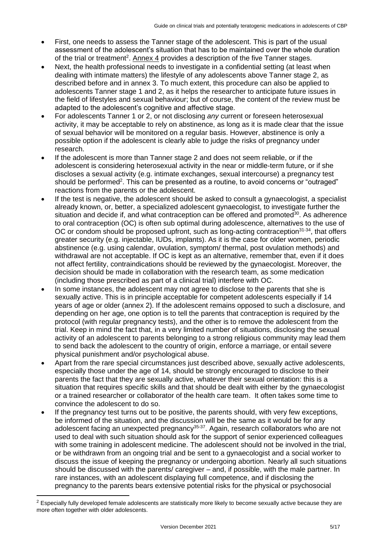- First, one needs to assess the Tanner stage of the adolescent. This is part of the usual assessment of the adolescent's situation that has to be maintained over the whole duration of the trial or treatment<sup>2</sup>. Annex 4 provides a description of the five Tanner stages.
- Next, the health professional needs to investigate in a confidential setting (at least when dealing with intimate matters) the lifestyle of any adolescents above Tanner stage 2, as described before and in annex 3. To much extent, this procedure can also be applied to adolescents Tanner stage 1 and 2, as it helps the researcher to anticipate future issues in the field of lifestyles and sexual behaviour; but of course, the content of the review must be adapted to the adolescent's cognitive and affective stage.
- For adolescents Tanner 1 or 2, or not disclosing *any* current or foreseen heterosexual activity, it may be acceptable to rely on abstinence, as long as it is made clear that the issue of sexual behavior will be monitored on a regular basis. However, abstinence is only a possible option if the adolescent is clearly able to judge the risks of pregnancy under research.
- If the adolescent is more than Tanner stage 2 and does not seem reliable, or if the adolescent is considering heterosexual activity in the near or middle-term future, or if she discloses a sexual activity (e.g. intimate exchanges, sexual intercourse) a pregnancy test should be performed<sup>2</sup>. This can be presented as a routine, to avoid concerns or "outraged" reactions from the parents or the adolescent.
- If the test is negative, the adolescent should be asked to consult a gynaecologist, a specialist already known, or, better, a specialized adolescent gynaecologist, to investigate further the situation and decide if, and what contraception can be offered and promoted<sup>30</sup>. As adherence to oral contraception (OC) is often sub optimal during adolescence, alternatives to the use of OC or condom should be proposed upfront, such as long-acting contraception<sup>31-34</sup>, that offers greater security (e.g. injectable, IUDs, implants). As it is the case for older women, periodic abstinence (e.g. using calendar, ovulation, symptom/ thermal, post ovulation methods) and withdrawal are not acceptable. If OC is kept as an alternative, remember that, even if it does not affect fertility, contraindications should be reviewed by the gynaecologist. Moreover, the decision should be made in collaboration with the research team, as some medication (including those prescribed as part of a clinical trial) interfere with OC.
- In some instances, the adolescent may not agree to disclose to the parents that she is sexually active. This is in principle acceptable for competent adolescents especially if 14 years of age or older (annex 2). If the adolescent remains opposed to such a disclosure, and depending on her age, one option is to tell the parents that contraception is required by the protocol (with regular pregnancy tests), and the other is to remove the adolescent from the trial. Keep in mind the fact that, in a very limited number of situations, disclosing the sexual activity of an adolescent to parents belonging to a strong religious community may lead them to send back the adolescent to the country of origin, enforce a marriage, or entail severe physical punishment and/or psychological abuse.
- Apart from the rare special circumstances just described above, sexually active adolescents, especially those under the age of 14, should be strongly encouraged to disclose to their parents the fact that they are sexually active, whatever their sexual orientation: this is a situation that requires specific skills and that should be dealt with either by the gynaecologist or a trained researcher or collaborator of the health care team. It often takes some time to convince the adolescent to do so.
- If the pregnancy test turns out to be positive, the parents should, with very few exceptions, be informed of the situation, and the discussion will be the same as it would be for any adolescent facing an unexpected pregnancy<sup>35-37</sup>. Again, research collaborators who are not used to deal with such situation should ask for the support of senior experienced colleagues with some training in adolescent medicine. The adolescent should not be involved in the trial, or be withdrawn from an ongoing trial and be sent to a gynaecologist and a social worker to discuss the issue of keeping the pregnancy or undergoing abortion. Nearly all such situations should be discussed with the parents/ caregiver – and, if possible, with the male partner. In rare instances, with an adolescent displaying full competence, and if disclosing the pregnancy to the parents bears extensive potential risks for the physical or psychosocial

<sup>&</sup>lt;sup>2</sup> Especially fully developed female adolescents are statistically more likely to become sexually active because they are more often together with older adolescents.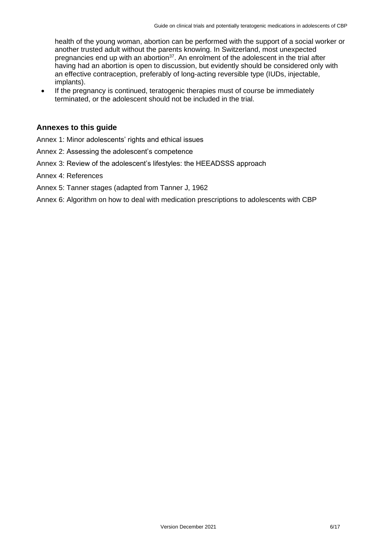health of the young woman, abortion can be performed with the support of a social worker or another trusted adult without the parents knowing. In Switzerland, most unexpected pregnancies end up with an abortion<sup>37</sup>. An enrolment of the adolescent in the trial after having had an abortion is open to discussion, but evidently should be considered only with an effective contraception, preferably of long-acting reversible type (IUDs, injectable, implants).

• If the pregnancy is continued, teratogenic therapies must of course be immediately terminated, or the adolescent should not be included in the trial.

#### **Annexes to this guide**

- Annex 1: Minor adolescents' rights and ethical issues
- Annex 2: Assessing the adolescent's competence
- Annex 3: Review of the adolescent's lifestyles: the HEEADSSS approach
- Annex 4: References

#### Annex 5: Tanner stages (adapted from Tanner J, 1962

Annex 6: Algorithm on how to deal with medication prescriptions to adolescents with CBP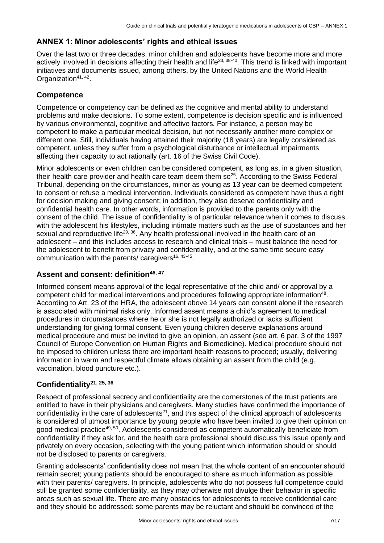# **ANNEX 1: Minor adolescents' rights and ethical issues**

Over the last two or three decades, minor children and adolescents have become more and more actively involved in decisions affecting their health and life<sup>23, 38-40</sup>. This trend is linked with important initiatives and documents issued, among others, by the United Nations and the World Health Organization<sup>41, 42</sup>.

# **Competence**

Competence or competency can be defined as the cognitive and mental ability to understand problems and make decisions. To some extent, competence is decision specific and is influenced by various environmental, cognitive and affective factors. For instance, a person may be competent to make a particular medical decision, but not necessarily another more complex or different one. Still, individuals having attained their majority (18 years) are legally considered as competent, unless they suffer from a psychological disturbance or intellectual impairments affecting their capacity to act rationally (art. 16 of the Swiss Civil Code).

Minor adolescents or even children can be considered competent, as long as, in a given situation, their health care provider and health care team deem them  $so^{25}$ . According to the Swiss Federal Tribunal, depending on the circumstances, minor as young as 13 year can be deemed competent to consent or refuse a medical intervention. Individuals considered as competent have thus a right for decision making and giving consent; in addition, they also deserve confidentiality and confidential health care. In other words, information is provided to the parents only with the consent of the child. The issue of confidentiality is of particular relevance when it comes to discuss with the adolescent his lifestyles, including intimate matters such as the use of substances and her sexual and reproductive life<sup>29, 36</sup>. Any health professional involved in the health care of an adolescent – and this includes access to research and clinical trials – must balance the need for the adolescent to benefit from privacy and confidentiality, and at the same time secure easy communication with the parents/ caregivers<sup>16, 43-45</sup>.

#### **Assent and consent: definition46, 47**

Informed consent means approval of the legal representative of the child and/ or approval by a competent child for medical interventions and procedures following appropriate information<sup>48</sup>. According to Art. 23 of the HRA, the adolescent above 14 years can consent alone if the research is associated with minimal risks only. Informed assent means a child's agreement to medical procedures in circumstances where he or she is not legally authorized or lacks sufficient understanding for giving formal consent. Even young children deserve explanations around medical procedure and must be invited to give an opinion, an assent (see art. 6 par. 3 of the 1997 Council of Europe Convention on Human Rights and Biomedicine). Medical procedure should not be imposed to children unless there are important health reasons to proceed; usually, delivering information in warm and respectful climate allows obtaining an assent from the child (e.g. vaccination, blood puncture etc.).

#### **Confidentiality21, 25, 36**

Respect of professional secrecy and confidentiality are the cornerstones of the trust patients are entitled to have in their physicians and caregivers. Many studies have confirmed the importance of confidentiality in the care of adolescents<sup>21</sup>, and this aspect of the clinical approach of adolescents is considered of utmost importance by young people who have been invited to give their opinion on good medical practice<sup>49, 50</sup>. Adolescents considered as competent automatically beneficiate from confidentiality if they ask for, and the health care professional should discuss this issue openly and privately on every occasion, selecting with the young patient which information should or should not be disclosed to parents or caregivers.

Granting adolescents' confidentiality does not mean that the whole content of an encounter should remain secret; young patients should be encouraged to share as much information as possible with their parents/ caregivers. In principle, adolescents who do not possess full competence could still be granted some confidentiality, as they may otherwise not divulge their behavior in specific areas such as sexual life. There are many obstacles for adolescents to receive confidential care and they should be addressed: some parents may be reluctant and should be convinced of the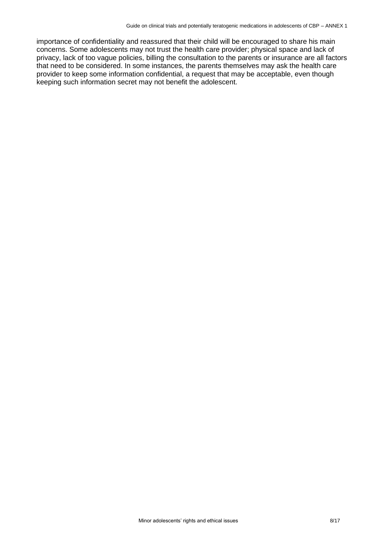importance of confidentiality and reassured that their child will be encouraged to share his main concerns. Some adolescents may not trust the health care provider; physical space and lack of privacy, lack of too vague policies, billing the consultation to the parents or insurance are all factors that need to be considered. In some instances, the parents themselves may ask the health care provider to keep some information confidential, a request that may be acceptable, even though keeping such information secret may not benefit the adolescent.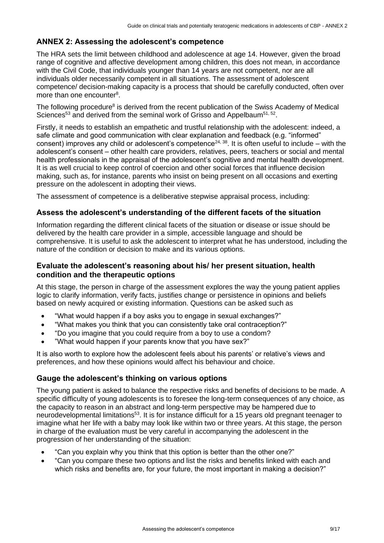# **ANNEX 2: Assessing the adolescent's competence**

The HRA sets the limit between childhood and adolescence at age 14. However, given the broad range of cognitive and affective development among children, this does not mean, in accordance with the Civil Code, that individuals younger than 14 years are not competent, nor are all individuals older necessarily competent in all situations. The assessment of adolescent competence/ decision-making capacity is a process that should be carefully conducted, often over more than one encounter<sup>8</sup>.

The following procedure<sup>8</sup> is derived from the recent publication of the Swiss Academy of Medical Sciences<sup>53</sup> and derived from the seminal work of Grisso and Appelbaum<sup>51, 52</sup>.

Firstly, it needs to establish an empathetic and trustful relationship with the adolescent: indeed, a safe climate and good communication with clear explanation and feedback (e.g. "informed" consent) improves any child or adolescent's competence<sup>24, 38</sup>. It is often useful to include – with the adolescent's consent – other health care providers, relatives, peers, teachers or social and mental health professionals in the appraisal of the adolescent's cognitive and mental health development. It is as well crucial to keep control of coercion and other social forces that influence decision making, such as, for instance, parents who insist on being present on all occasions and exerting pressure on the adolescent in adopting their views.

The assessment of competence is a deliberative stepwise appraisal process, including:

# **Assess the adolescent's understanding of the different facets of the situation**

Information regarding the different clinical facets of the situation or disease or issue should be delivered by the health care provider in a simple, accessible language and should be comprehensive. It is useful to ask the adolescent to interpret what he has understood, including the nature of the condition or decision to make and its various options.

#### **Evaluate the adolescent's reasoning about his/ her present situation, health condition and the therapeutic options**

At this stage, the person in charge of the assessment explores the way the young patient applies logic to clarify information, verify facts, justifies change or persistence in opinions and beliefs based on newly acquired or existing information. Questions can be asked such as

- "What would happen if a boy asks you to engage in sexual exchanges?"
- "What makes you think that you can consistently take oral contraception?"
- "Do you imagine that you could require from a boy to use a condom?
- "What would happen if your parents know that you have sex?"

It is also worth to explore how the adolescent feels about his parents' or relative's views and preferences, and how these opinions would affect his behaviour and choice.

#### **Gauge the adolescent's thinking on various options**

The young patient is asked to balance the respective risks and benefits of decisions to be made. A specific difficulty of young adolescents is to foresee the long-term consequences of any choice, as the capacity to reason in an abstract and long-term perspective may be hampered due to neurodevelopmental limitations<sup>53</sup>. It is for instance difficult for a 15 years old pregnant teenager to imagine what her life with a baby may look like within two or three years. At this stage, the person in charge of the evaluation must be very careful in accompanying the adolescent in the progression of her understanding of the situation:

- "Can you explain why you think that this option is better than the other one?"
- "Can you compare these two options and list the risks and benefits linked with each and which risks and benefits are, for your future, the most important in making a decision?"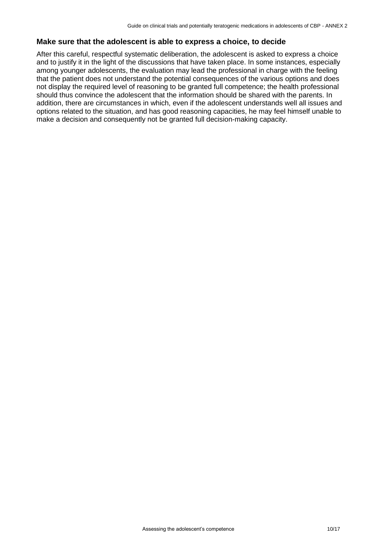#### **Make sure that the adolescent is able to express a choice, to decide**

After this careful, respectful systematic deliberation, the adolescent is asked to express a choice and to justify it in the light of the discussions that have taken place. In some instances, especially among younger adolescents, the evaluation may lead the professional in charge with the feeling that the patient does not understand the potential consequences of the various options and does not display the required level of reasoning to be granted full competence; the health professional should thus convince the adolescent that the information should be shared with the parents. In addition, there are circumstances in which, even if the adolescent understands well all issues and options related to the situation, and has good reasoning capacities, he may feel himself unable to make a decision and consequently not be granted full decision-making capacity.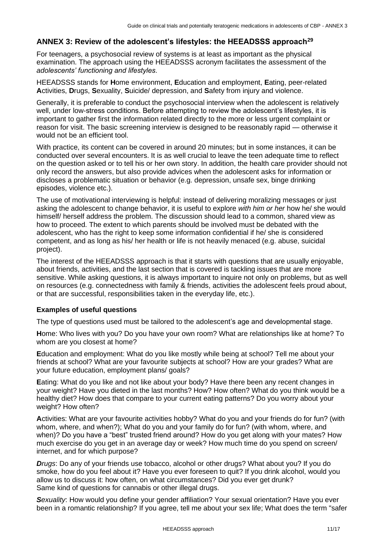#### **ANNEX 3: Review of the adolescent's lifestyles: the HEEADSSS approach<sup>29</sup>**

For teenagers, a psychosocial review of systems is at least as important as the physical examination. The approach using the HEEADSSS acronym facilitates the assessment of the *adolescents' functioning and lifestyles*.

HEEADSSS stands for **H**ome environment, **E**ducation and employment, **E**ating, peer-related **A**ctivities, **D**rugs, **S**exuality, **S**uicide/ depression, and **S**afety from injury and violence.

Generally, it is preferable to conduct the psychosocial interview when the adolescent is relatively well, under low-stress conditions. Before attempting to review the adolescent's lifestyles, it is important to gather first the information related directly to the more or less urgent complaint or reason for visit. The basic screening interview is designed to be reasonably rapid — otherwise it would not be an efficient tool.

With practice, its content can be covered in around 20 minutes; but in some instances, it can be conducted over several encounters. It is as well crucial to leave the teen adequate time to reflect on the question asked or to tell his or her own story. In addition, the health care provider should not only record the answers, but also provide advices when the adolescent asks for information or discloses a problematic situation or behavior (e.g. depression, unsafe sex, binge drinking episodes, violence etc.).

The use of motivational interviewing is helpful: instead of delivering moralizing messages or just asking the adolescent to change behavior, it is useful to explore *with him or her* how he/ she would himself/ herself address the problem. The discussion should lead to a common, shared view as how to proceed. The extent to which parents should be involved must be debated with the adolescent, who has the right to keep some information confidential if he/ she is considered competent, and as long as his/ her health or life is not heavily menaced (e.g. abuse, suicidal project).

The interest of the HEEADSSS approach is that it starts with questions that are usually enjoyable, about friends, activities, and the last section that is covered is tackling issues that are more sensitive. While asking questions, it is always important to inquire not only on problems, but as well on resources (e.g. connectedness with family & friends, activities the adolescent feels proud about, or that are successful, responsibilities taken in the everyday life, etc.).

#### **Examples of useful questions**

The type of questions used must be tailored to the adolescent's age and developmental stage.

**H**ome: Who lives with you? Do you have your own room? What are relationships like at home? To whom are you closest at home?

**E**ducation and employment: What do you like mostly while being at school? Tell me about your friends at school? What are your favourite subjects at school? How are your grades? What are your future education, employment plans/ goals?

**E**ating: What do you like and not like about your body? Have there been any recent changes in your weight? Have you dieted in the last months? How? How often? What do you think would be a healthy diet? How does that compare to your current eating patterns? Do you worry about your weight? How often?

**A**ctivities: What are your favourite activities hobby? What do you and your friends do for fun? (with whom, where, and when?); What do you and your family do for fun? (with whom, where, and when)? Do you have a "best" trusted friend around? How do you get along with your mates? How much exercise do you get in an average day or week? How much time do you spend on screen/ internet, and for which purpose?

*Drugs*: Do any of your friends use tobacco, alcohol or other drugs? What about you? If you do smoke, how do you feel about it? Have you ever foreseen to quit? If you drink alcohol, would you allow us to discuss it: how often, on what circumstances? Did you ever get drunk? Same kind of questions for cannabis or other illegal drugs.

*Sexuality*: How would you define your gender affiliation? Your sexual orientation? Have you ever been in a romantic relationship? If you agree, tell me about your sex life; What does the term "safer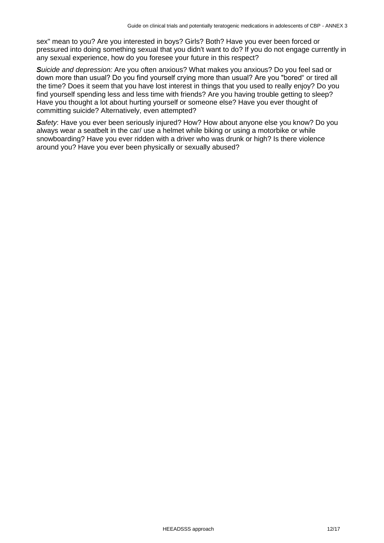sex" mean to you? Are you interested in boys? Girls? Both? Have you ever been forced or pressured into doing something sexual that you didn't want to do? If you do not engage currently in any sexual experience, how do you foresee your future in this respect?

*Suicide and depression:* Are you often anxious? What makes you anxious? Do you feel sad or down more than usual? Do you find yourself crying more than usual? Are you "bored" or tired all the time? Does it seem that you have lost interest in things that you used to really enjoy? Do you find yourself spending less and less time with friends? Are you having trouble getting to sleep? Have you thought a lot about hurting yourself or someone else? Have you ever thought of committing suicide? Alternatively, even attempted?

*Safety*: Have you ever been seriously injured? How? How about anyone else you know? Do you always wear a seatbelt in the car/ use a helmet while biking or using a motorbike or while snowboarding? Have you ever ridden with a driver who was drunk or high? Is there violence around you? Have you ever been physically or sexually abused?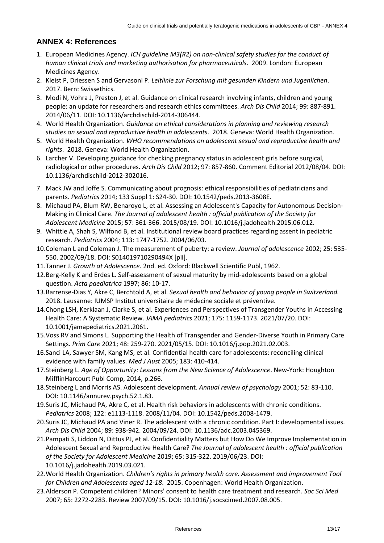# **ANNEX 4: References**

- 1. European Medicines Agency. *ICH guideline M3(R2) on non-clinical safety studies for the conduct of human clinical trials and marketing authorisation for pharmaceuticals*. 2009. London: European Medicines Agency.
- 2. Kleist P, Driessen S and Gervasoni P. *Leitlinie zur Forschung mit gesunden Kindern und Jugenlichen*. 2017. Bern: Swissethics.
- 3. Modi N, Vohra J, Preston J, et al. Guidance on clinical research involving infants, children and young people: an update for researchers and research ethics committees. *Arch Dis Child* 2014; 99: 887-891. 2014/06/11. DOI: 10.1136/archdischild-2014-306444.
- 4. World Health Organization. *Guidance on ethical considerations in planning and reviewing research studies on sexual and reproductive health in adolescents*. 2018. Geneva: World Health Organization.
- 5. World Health Organization. *WHO recommendations on adolescent sexual and reproductive health and rights*. 2018. Geneva: World Health Organization.
- 6. Larcher V. Developing guidance for checking pregnancy status in adolescent girls before surgical, radiological or other procedures. *Arch Dis Child* 2012; 97: 857-860. Comment Editorial 2012/08/04. DOI: 10.1136/archdischild-2012-302016.
- 7. Mack JW and Joffe S. Communicating about prognosis: ethical responsibilities of pediatricians and parents. *Pediatrics* 2014; 133 Suppl 1: S24-30. DOI: 10.1542/peds.2013-3608E.
- 8. Michaud PA, Blum RW, Benaroyo L, et al. Assessing an Adolescent's Capacity for Autonomous Decision-Making in Clinical Care. *The Journal of adolescent health : official publication of the Society for Adolescent Medicine* 2015; 57: 361-366. 2015/08/19. DOI: 10.1016/j.jadohealth.2015.06.012.
- 9. Whittle A, Shah S, Wilfond B, et al. Institutional review board practices regarding assent in pediatric research. *Pediatrics* 2004; 113: 1747-1752. 2004/06/03.
- 10.Coleman L and Coleman J. The measurement of puberty: a review. *Journal of adolescence* 2002; 25: 535- 550. 2002/09/18. DOI: S014019710290494X [pii].
- 11.Tanner J. *Growth at Adolescence*. 2nd. ed. Oxford: Blackwell Scientific Publ, 1962.
- 12.Berg-Kelly K and Erdes L. Self-assessment of sexual maturity by mid-adolescents based on a global question. *Acta paediatrica* 1997; 86: 10-17.
- 13.Barrense-Dias Y, Akre C, Berchtold A, et al. *Sexual health and behavior of young people in Switzerland.* 2018. Lausanne: IUMSP Institut universitaire de médecine sociale et préventive.
- 14.Chong LSH, Kerklaan J, Clarke S, et al. Experiences and Perspectives of Transgender Youths in Accessing Health Care: A Systematic Review. *JAMA pediatrics* 2021; 175: 1159-1173. 2021/07/20. DOI: 10.1001/jamapediatrics.2021.2061.
- 15.Voss RV and Simons L. Supporting the Health of Transgender and Gender-Diverse Youth in Primary Care Settings. *Prim Care* 2021; 48: 259-270. 2021/05/15. DOI: 10.1016/j.pop.2021.02.003.
- 16.Sanci LA, Sawyer SM, Kang MS, et al. Confidential health care for adolescents: reconciling clinical evidence with family values. *Med J Aust* 2005; 183: 410-414.
- 17.Steinberg L. *Age of Opportunity: Lessons from the New Science of Adolescence*. New-York: Houghton MifflinHarcourt Publ Comp, 2014, p.266.
- 18.Steinberg L and Morris AS. Adolescent development. *Annual review of psychology* 2001; 52: 83-110. DOI: 10.1146/annurev.psych.52.1.83.
- 19.Suris JC, Michaud PA, Akre C, et al. Health risk behaviors in adolescents with chronic conditions. *Pediatrics* 2008; 122: e1113-1118. 2008/11/04. DOI: 10.1542/peds.2008-1479.
- 20.Suris JC, Michaud PA and Viner R. The adolescent with a chronic condition. Part I: developmental issues. *Arch Dis Child* 2004; 89: 938-942. 2004/09/24. DOI: 10.1136/adc.2003.045369.
- 21.Pampati S, Liddon N, Dittus PJ, et al. Confidentiality Matters but How Do We Improve Implementation in Adolescent Sexual and Reproductive Health Care? *The Journal of adolescent health : official publication of the Society for Adolescent Medicine* 2019; 65: 315-322. 2019/06/23. DOI: 10.1016/j.jadohealth.2019.03.021.
- 22.World Health Organization. *Children's rights in primary health care. Assessment and improvement Tool for Children and Adolescents aged 12-18*. 2015. Copenhagen: World Health Organization.
- 23.Alderson P. Competent children? Minors' consent to health care treatment and research. *Soc Sci Med* 2007; 65: 2272-2283. Review 2007/09/15. DOI: 10.1016/j.socscimed.2007.08.005.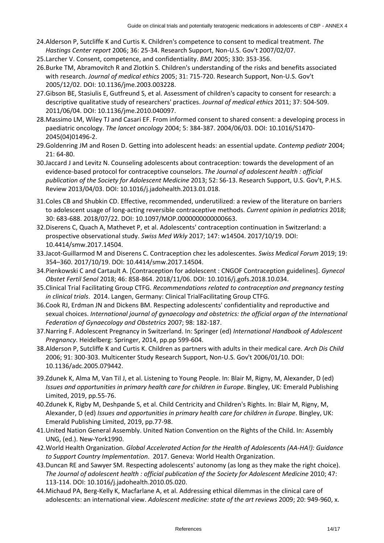- 24.Alderson P, Sutcliffe K and Curtis K. Children's competence to consent to medical treatment. *The Hastings Center report* 2006; 36: 25-34. Research Support, Non-U.S. Gov't 2007/02/07.
- 25.Larcher V. Consent, competence, and confidentiality. *BMJ* 2005; 330: 353-356.
- 26.Burke TM, Abramovitch R and Zlotkin S. Children's understanding of the risks and benefits associated with research. *Journal of medical ethics* 2005; 31: 715-720. Research Support, Non-U.S. Gov't 2005/12/02. DOI: 10.1136/jme.2003.003228.
- 27.Gibson BE, Stasiulis E, Gutfreund S, et al. Assessment of children's capacity to consent for research: a descriptive qualitative study of researchers' practices. *Journal of medical ethics* 2011; 37: 504-509. 2011/06/04. DOI: 10.1136/jme.2010.040097.
- 28.Massimo LM, Wiley TJ and Casari EF. From informed consent to shared consent: a developing process in paediatric oncology. *The lancet oncology* 2004; 5: 384-387. 2004/06/03. DOI: 10.1016/S1470- 2045(04)01496-2.
- 29.Goldenring JM and Rosen D. Getting into adolescent heads: an essential update. *Contemp pediatr* 2004; 21: 64-80.
- 30.Jaccard J and Levitz N. Counseling adolescents about contraception: towards the development of an evidence-based protocol for contraceptive counselors. *The Journal of adolescent health : official publication of the Society for Adolescent Medicine* 2013; 52: S6-13. Research Support, U.S. Gov't, P.H.S. Review 2013/04/03. DOI: 10.1016/j.jadohealth.2013.01.018.
- 31.Coles CB and Shubkin CD. Effective, recommended, underutilized: a review of the literature on barriers to adolescent usage of long-acting reversible contraceptive methods. *Current opinion in pediatrics* 2018; 30: 683-688. 2018/07/22. DOI: 10.1097/MOP.0000000000000663.
- 32.Diserens C, Quach A, Mathevet P, et al. Adolescents' contraception continuation in Switzerland: a prospective observational study. *Swiss Med Wkly* 2017; 147: w14504. 2017/10/19. DOI: 10.4414/smw.2017.14504.
- 33.Jacot-Guillarmod M and Diserens C. Contraception chez les adolescentes. *Swiss Medical Forum* 2019; 19: 354–360. 2017/10/19. DOI: 10.4414/smw.2017.14504.
- 34.Pienkowski C and Cartault A. [Contraception for adolescent : CNGOF Contraception guidelines]. *Gynecol Obstet Fertil Senol* 2018; 46: 858-864. 2018/11/06. DOI: 10.1016/j.gofs.2018.10.034.
- 35.Clinical Trial Facilitating Group CTFG. *Recommendations related to contraception and pregnancy testing in clinical trials*. 2014. Langen, Germany: Clinical TrialFacilitating Group CTFG.
- 36.Cook RJ, Erdman JN and Dickens BM. Respecting adolescents' confidentiality and reproductive and sexual choices. *International journal of gynaecology and obstetrics: the official organ of the International Federation of Gynaecology and Obstetrics* 2007; 98: 182-187.
- 37.Narring F. Adolescent Pregnancy in Switzerland. In: Springer (ed) *International Handbook of Adolescent Pregnancy*. Heidelberg: Springer, 2014, pp.pp 599-604.
- 38.Alderson P, Sutcliffe K and Curtis K. Children as partners with adults in their medical care. *Arch Dis Child* 2006; 91: 300-303. Multicenter Study Research Support, Non-U.S. Gov't 2006/01/10. DOI: 10.1136/adc.2005.079442.
- 39.Zdunek K, Alma M, Van Til J, et al. Listening to Young People. In: Blair M, Rigny, M, Alexander, D (ed) *Issues and opportunities in primary health care for children in Europe*. Bingley, UK: Emerald Publishing Limited, 2019, pp.55-76.
- 40.Zdunek K, Rigby M, Deshpande S, et al. Child Centricity and Children's Rights. In: Blair M, Rigny, M, Alexander, D (ed) *Issues and opportunities in primary health care for children in Europe*. Bingley, UK: Emerald Publishing Limited, 2019, pp.77-98.
- 41.United Nation General Assembly. United Nation Convention on the Rights of the Child. In: Assembly UNG, (ed.). New-York1990.
- 42.World Health Organization. *Global Accelerated Action for the Health of Adolescents (AA-HA!): Guidance to Support Country Implementation*. 2017. Geneva: World Health Organization.
- 43.Duncan RE and Sawyer SM. Respecting adolescents' autonomy (as long as they make the right choice). *The Journal of adolescent health : official publication of the Society for Adolescent Medicine* 2010; 47: 113-114. DOI: 10.1016/j.jadohealth.2010.05.020.
- 44.Michaud PA, Berg-Kelly K, Macfarlane A, et al. Addressing ethical dilemmas in the clinical care of adolescents: an international view. *Adolescent medicine: state of the art reviews* 2009; 20: 949-960, x.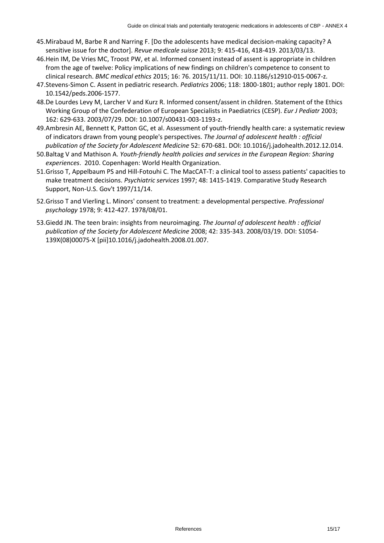- 45.Mirabaud M, Barbe R and Narring F. [Do the adolescents have medical decision-making capacity? A sensitive issue for the doctor]. *Revue medicale suisse* 2013; 9: 415-416, 418-419. 2013/03/13.
- 46.Hein IM, De Vries MC, Troost PW, et al. Informed consent instead of assent is appropriate in children from the age of twelve: Policy implications of new findings on children's competence to consent to clinical research. *BMC medical ethics* 2015; 16: 76. 2015/11/11. DOI: 10.1186/s12910-015-0067-z.
- 47.Stevens-Simon C. Assent in pediatric research. *Pediatrics* 2006; 118: 1800-1801; author reply 1801. DOI: 10.1542/peds.2006-1577.
- 48.De Lourdes Levy M, Larcher V and Kurz R. Informed consent/assent in children. Statement of the Ethics Working Group of the Confederation of European Specialists in Paediatrics (CESP). *Eur J Pediatr* 2003; 162: 629-633. 2003/07/29. DOI: 10.1007/s00431-003-1193-z.
- 49.Ambresin AE, Bennett K, Patton GC, et al. Assessment of youth-friendly health care: a systematic review of indicators drawn from young people's perspectives. *The Journal of adolescent health : official publication of the Society for Adolescent Medicine* 52: 670-681. DOI: 10.1016/j.jadohealth.2012.12.014.
- 50.Baltag V and Mathison A. *Youth-friendly health policies and services in the European Region: Sharing experiences*. 2010. Copenhagen: World Health Organization.
- 51.Grisso T, Appelbaum PS and Hill-Fotouhi C. The MacCAT-T: a clinical tool to assess patients' capacities to make treatment decisions. *Psychiatric services* 1997; 48: 1415-1419. Comparative Study Research Support, Non-U.S. Gov't 1997/11/14.
- 52.Grisso T and Vierling L. Minors' consent to treatment: a developmental perspective. *Professional psychology* 1978; 9: 412-427. 1978/08/01.
- 53.Giedd JN. The teen brain: insights from neuroimaging. *The Journal of adolescent health : official publication of the Society for Adolescent Medicine* 2008; 42: 335-343. 2008/03/19. DOI: S1054- 139X(08)00075-X [pii]10.1016/j.jadohealth.2008.01.007.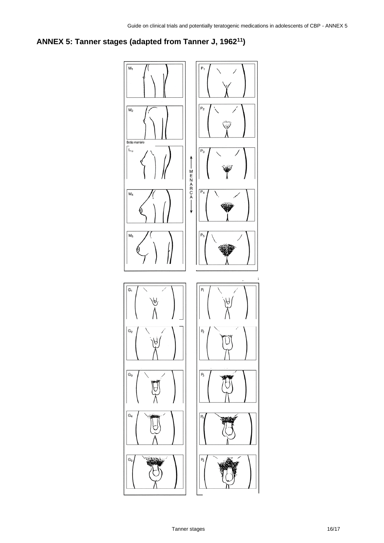# **ANNEX 5: Tanner stages (adapted from Tanner J, 196211)**